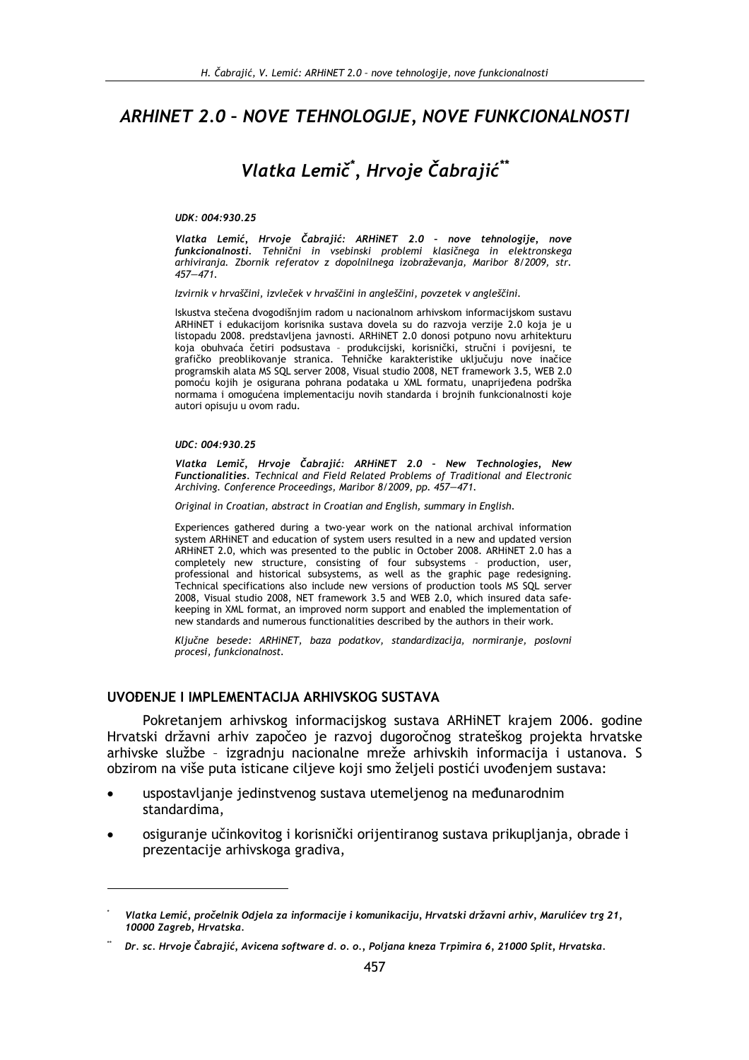# ARHINET 2.0 - NOVE TEHNOLOGIJE, NOVE FUNKCIONALNOSTI

# Vlatka Lemič<sup>\*</sup>, Hrvoje Čabrajić<sup>\*\*</sup>

#### UDK: 004:930.25

Vlatka Lemić, Hrvoje Čabrajić: ARHiNET 2.0 - nove tehnologije, nove funkcionalnosti. Tehnični in vsebinski problemi klasičnega in elektronskega arhiviranja. Zbornik referatov z dopolnilnega izobraževanja, Maribor 8/2009, str.  $457 - 471$ 

Izvirnik v hrvaščini, izvleček v hrvaščini in angleščini, povzetek v angleščini.

Iskustva stečena dvogodišnjim radom u nacionalnom arhivskom informacijskom sustavu ARHINET i edukacijom korisnika sustava dovela su do razvoja verzije 2.0 koja je u listopadu 2008. predstavljena javnosti. ARHiNET 2.0 donosi potpuno novu arhitekturu koja obuhvaća četiri podsustava - produkcijski, korisnički, stručni i povijesni, te grafičko preoblikovanje stranica. Tehničke karakteristike uključuju nove inačice programskih alata MS SQL server 2008, Visual studio 2008, NET framework 3.5, WEB 2.0 pomoću kojih je osigurana pohrana podataka u XML formatu, unaprijeđena podrška normama i omogućena implementaciju novih standarda i brojnih funkcionalnosti koje autori opisuju u ovom radu.

#### UDC: 004:930.25

Vlatka Lemič. Hrvoje Čabrajić: ARHINET 2.0 - New Technologies. New Functionalities. Technical and Field Related Problems of Traditional and Electronic Archiving. Conference Proceedings, Maribor 8/2009, pp. 457-471.

Original in Croatian, abstract in Croatian and English, summary in English.

Experiences gathered during a two-year work on the national archival information system ARHINET and education of system users resulted in a new and updated version ARHINET 2.0, which was presented to the public in October 2008. ARHINET 2.0 has a completely new structure, consisting of four subsystems - production, user, professional and historical subsystems, as well as the graphic page redesigning. Technical specifications also include new versions of production tools MS SQL server 2008, Visual studio 2008, NET framework 3.5 and WEB 2.0, which insured data safekeeping in XML format, an improved norm support and enabled the implementation of new standards and numerous functionalities described by the authors in their work.

Ključne besede: ARHiNET, baza podatkov, standardizacija, normiranje, poslovni procesi, funkcionalnost.

### UVOĐENJE I IMPLEMENTACIJA ARHIVSKOG SUSTAVA

Pokretanjem arhivskog informacijskog sustava ARHiNET krajem 2006. godine Hrvatski državni arhiv započeo je razvoj dugoročnog strateškog projekta hrvatske arhivske službe - izgradnju nacionalne mreže arhivskih informacija i ustanova. S obzirom na više puta isticane ciljeve koji smo željeli postići uvođenjem sustava:

- uspostavljanje jedinstvenog sustava utemeljenog na međunarodnim standardima.
- osiguranje učinkovitog i korisnički orijentiranog sustava prikupljanja, obrade i prezentacije arhivskoga gradiva,

Vlatka Lemić, pročelnik Odjela za informacije i komunikaciju, Hrvatski državni arhiv, Marulićev trg 21, 10000 Zagreb, Hrvatska.

Dr. sc. Hrvoje Čabrajić, Avicena software d. o. o., Poljana kneza Trpimira 6, 21000 Split, Hrvatska.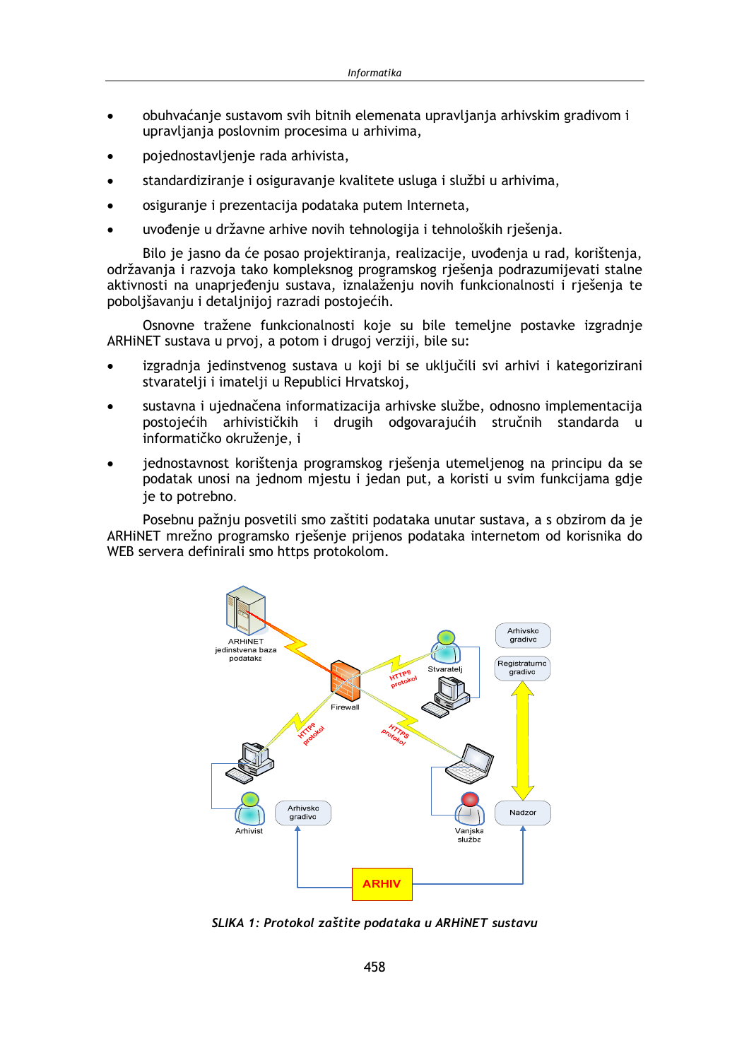- obuhvaćanje sustavom svih bitnih elemenata upravljanja arhivskim gradivom i upravljanja poslovnim procesima u arhivima,
- pojednostavljenje rada arhivista,
- standardiziranje i osiguravanje kvalitete usluga i službi u arhivima,  $\bullet$
- osiguranie i prezentacija podataka putem Interneta,
- uvođenie u državne arhive novih tehnologija i tehnoloških riešenia.

Bilo je jasno da će posao projektiranja, realizacije, uvođenja u rad, korištenja, održavanja i razvoja tako kompleksnog programskog rješenja podrazumijevati stalne aktivnosti na unaprjeđenju sustava, iznalaženju novih funkcionalnosti i rješenja te poboljšavanju i detaljnijoj razradi postojećih.

Osnovne tražene funkcionalnosti koje su bile temeljne postavke izgradnje ARHINET sustava u prvoj, a potom i drugoj verziji, bile su:

- izgradnja jedinstvenog sustava u koji bi se uključili svi arhivi i kategorizirani stvaratelji i imatelji u Republici Hrvatskoj,
- sustavna i ujednačena informatizacija arhivske službe, odnosno implementacija postojećih arhivističkih i drugih odgovarajućih stručnih standarda u informatičko okruženie, i
- jednostavnost korištenja programskog rješenja utemeljenog na principu da se podatak unosi na jednom mjestu i jedan put, a koristi u svim funkcijama gdje je to potrebno.

Posebnu pažnju posvetili smo zaštiti podataka unutar sustava, a s obzirom da je ARHINET mrežno programsko rješenje prijenos podataka internetom od korisnika do WEB servera definirali smo https protokolom.



SLIKA 1: Protokol zaštite podataka u ARHINET sustavu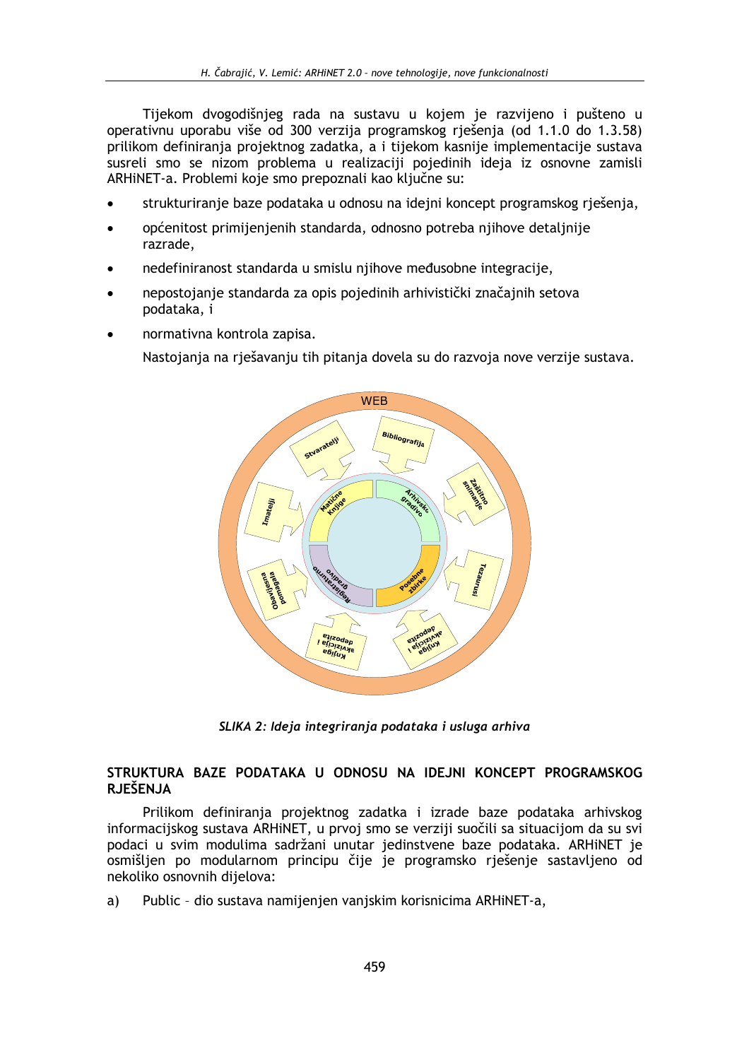Tijekom dvogodišnjeg rada na sustavu u kojem je razvijeno i pušteno u operativnu uporabu više od 300 verzija programskog rješenja (od 1.1.0 do 1.3.58) prilikom definiranja projektnog zadatka, a i tijekom kasnije implementacije sustava susreli smo se nizom problema u realizaciji pojedinih ideja iz osnovne zamisli ARHINET-a. Problemi koje smo prepoznali kao ključne su:

- strukturiranje baze podataka u odnosu na idejni koncept programskog rješenja,
- općenitost primijenjenih standarda, odnosno potreba nijhove detalinije razrade,
- nedefiniranost standarda u smislu njihove međusobne integracije,
- nepostojanje standarda za opis pojedinih arhivistički značajnih setova podataka, i
- normativna kontrola zapisa.

Nastojanja na rješavanju tih pitanja dovela su do razvoja nove verzije sustava.



SLIKA 2: Ideja integriranja podataka i usluga arhiva

### STRUKTURA BAZE PODATAKA U ODNOSU NA IDEJNI KONCEPT PROGRAMSKOG **RJEŠENJA**

Prilikom definiranja projektnog zadatka i izrade baze podataka arhivskog informacijskog sustava ARHINET, u prvoj smo se verziji suočili sa situacijom da su svi podaci u svim modulima sadržani unutar jedinstvene baze podataka. ARHINET je osmišljen po modularnom principu čije je programsko rješenje sastavljeno od nekoliko osnovnih dijelova:

Public - dio sustava namijenjen vanjskim korisnicima ARHiNET-a, a)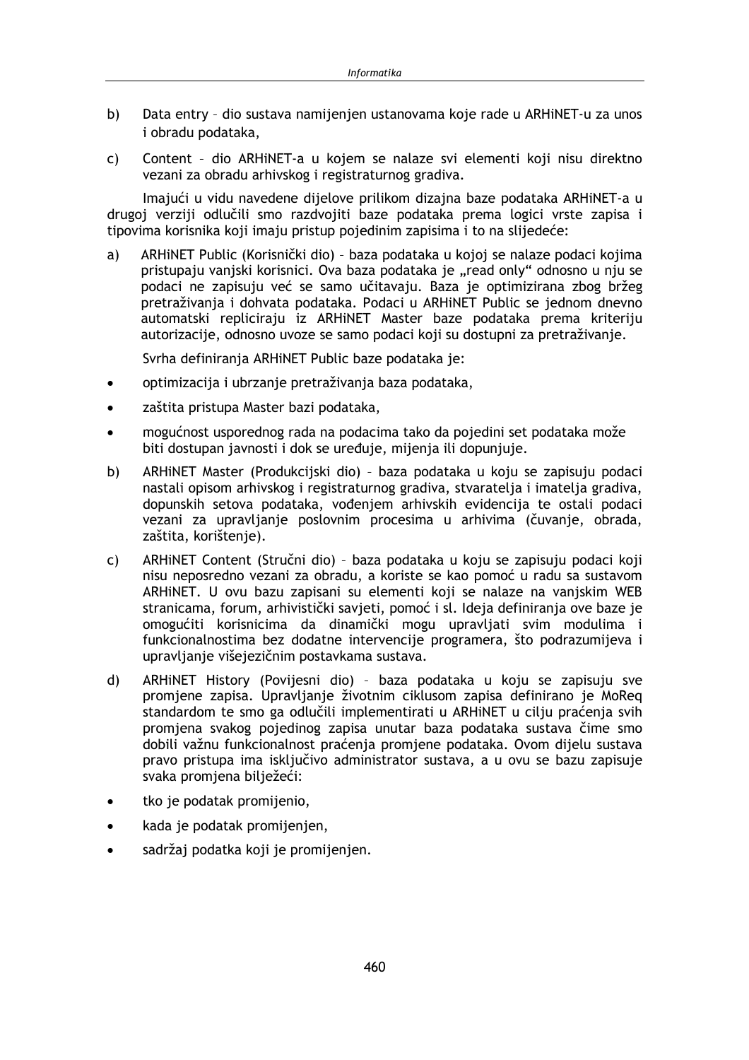- Data entry dio sustava namijenjen ustanovama koje rade u ARHiNET-u za unos  $b)$ i obradu podataka,
- Content dio ARHiNET-a u kojem se nalaze svi elementi koji nisu direktno  $\mathsf{C}$ vezani za obradu arhivskog i registraturnog gradiva.

Imajući u vidu navedene dijelove prilikom dizajna baze podataka ARHiNET-a u drugoj verziji odlučili smo razdvojiti baze podataka prema logici vrste zapisa i tipovima korisnika koji imaju pristup pojedinim zapisima i to na slijedeće:

 $a)$ ARHINET Public (Korisnički dio) - baza podataka u kojoj se nalaze podaci kojima pristupaju vanjski korisnici. Ova baza podataka je "read only" odnosno u nju se podaci ne zapisuju već se samo učitavaju. Baza je optimizirana zbog bržeg pretraživanja i dohvata podataka. Podaci u ARHINET Public se jednom dnevno automatski repliciraju iz ARHiNET Master baze podataka prema kriteriju autorizacije, odnosno uvoze se samo podaci koji su dostupni za pretraživanje.

Svrha definiranja ARHINET Public baze podataka je:

- optimizacija i ubrzanje pretraživanja baza podataka,  $\bullet$
- zaštita pristupa Master bazi podataka,  $\bullet$
- mogućnost usporednog rada na podacima tako da pojedini set podataka može biti dostupan javnosti i dok se uređuje, mijenja ili dopunjuje.
- b) ARHINET Master (Produkcijski dio) - baza podataka u koju se zapisuju podaci nastali opisom arhivskog i registraturnog gradiva, stvaratelja i imatelja gradiva, dopunskih setova podataka, vođenjem arhivskih evidencija te ostali podaci vezani za upravljanje poslovnim procesima u arhivima (čuvanje, obrada, zaštita, korištenje).
- ARHINET Content (Stručni dio) baza podataka u koju se zapisuju podaci koji  $\mathsf{C}$ nisu neposredno vezani za obradu, a koriste se kao pomoć u radu sa sustavom ARHINET. U ovu bazu zapisani su elementi koji se nalaze na vaniskim WEB stranicama, forum, arhivistički savjeti, pomoć i sl. Ideja definiranja ove baze je omogućiti korisnicima da dinamički mogu upravljati svim modulima i funkcionalnostima bez dodatne intervencije programera, što podrazumijeva i upravljanje višejezičnim postavkama sustava.
- $\mathsf{d}$ ARHINET History (Povijesni dio) - baza podataka u koju se zapisuju sve promiene zapisa. Upravlianie životnim ciklusom zapisa definirano je MoReg standardom te smo ga odlučili implementirati u ARHiNET u cilju praćenja svih promjena svakog pojedinog zapisa unutar baza podataka sustava čime smo dobili važnu funkcionalnost praćenja promjene podataka. Ovom dijelu sustava pravo pristupa ima isključivo administrator sustava, a u ovu se bazu zapisuje svaka promjena bilježeći:
- tko je podatak promijenio,  $\bullet$
- kada je podatak promijenjen,
- sadržaj podatka koji je promijenjen.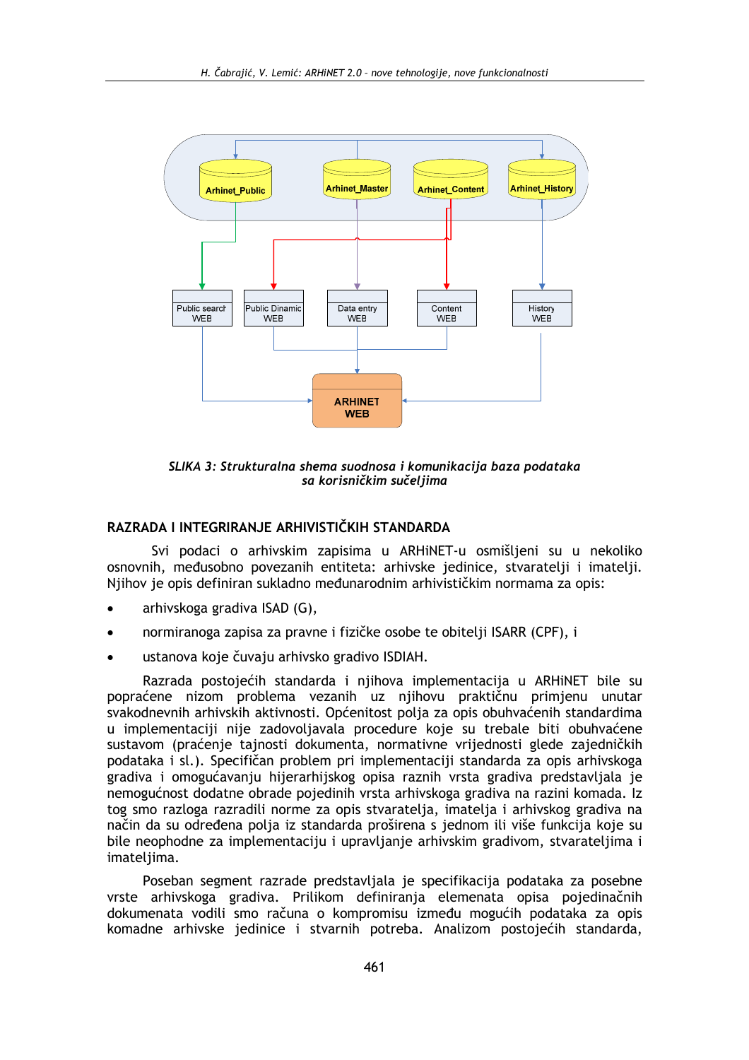

SLIKA 3: Strukturalna shema suodnosa i komunikacija baza podataka sa korisničkim sučeljima

### RAZRADA I INTEGRIRANJE ARHIVISTIČKIH STANDARDA

Svi podaci o arhivskim zapisima u ARHiNET-u osmišljeni su u nekoliko osnovnih, međusobno povezanih entiteta: arhivske jedinice, stvaratelji i imatelji. Njihov je opis definiran sukladno međunarodnim arhivističkim normama za opis:

- arhivskoga gradiva ISAD (G),
- normiranoga zapisa za pravne i fizičke osobe te obitelji ISARR (CPF), i
- ustanova koje čuvaju arhivsko gradivo ISDIAH.

Razrada postojećih standarda i njihova implementacija u ARHiNET bile su popraćene nizom problema vezanih uz nijhovu praktičnu primienu unutar svakodnevnih arhivskih aktivnosti. Općenitost polja za opis obuhvaćenih standardima u implementaciji nije zadovoljavala procedure koje su trebale biti obuhvaćene sustavom (praćenie tajnosti dokumenta, normativne vrijednosti glede zajedničkih podataka i sl.). Specifičan problem pri implementaciji standarda za opis arhivskoga gradiva i omogućavanju hijerarhijskog opisa raznih vrsta gradiva predstavliala ie nemogućnost dodatne obrade pojedinih vrsta arhivskoga gradiva na razini komada. Iz tog smo razloga razradili norme za opis stvaratelia, imatelia i arhivskog gradiva na način da su određena polja iz standarda proširena s jednom ili više funkcija koje su bile neophodne za implementaciju i upravljanje arhivskim gradivom, stvarateljima i imateliima.

Poseban segment razrade predstavljala je specifikacija podataka za posebne vrste arhivskoga gradiva. Prilikom definiranja elemenata opisa pojedinačnih dokumenata vodili smo računa o kompromisu između mogućih podataka za opis komadne arhivske jedinice i stvarnih potreba. Analizom postojećih standarda,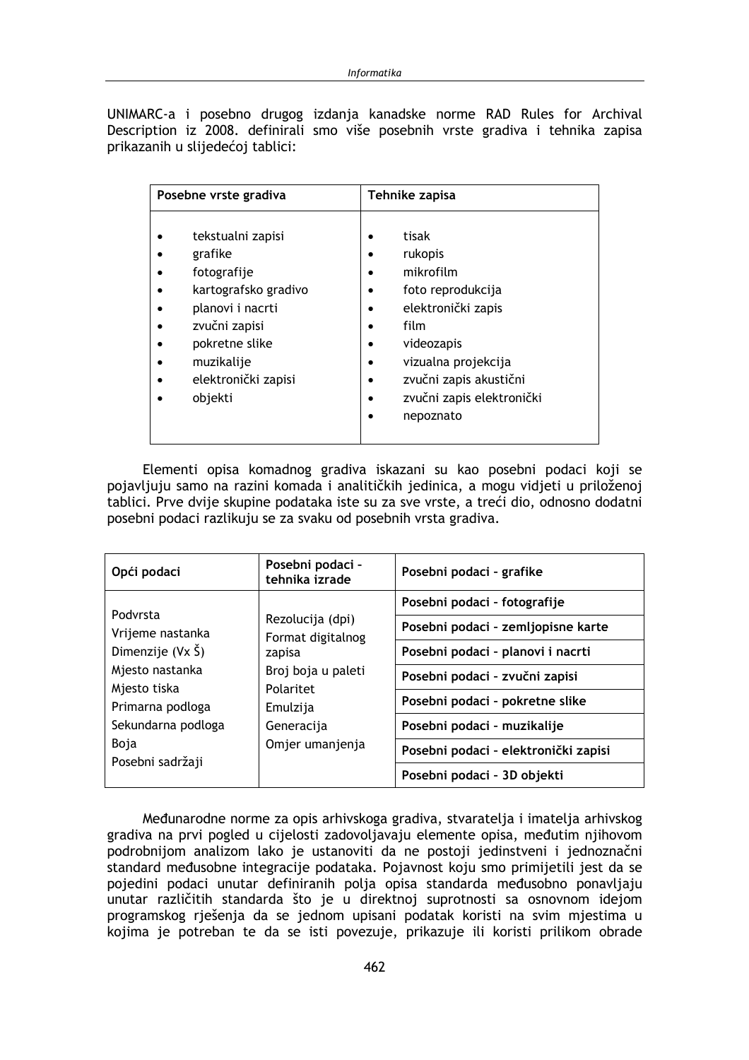UNIMARC-a i posebno drugog izdanja kanadske norme RAD Rules for Archival Description iz 2008. definirali smo više posebnih vrste gradiva i tehnika zapisa prikazanih u slijedećoj tablici:

| Posebne vrste gradiva                                                                                                                                                      | Tehnike zapisa                                                                                                                                                                            |  |
|----------------------------------------------------------------------------------------------------------------------------------------------------------------------------|-------------------------------------------------------------------------------------------------------------------------------------------------------------------------------------------|--|
| tekstualni zapisi<br>grafike<br>fotografije<br>kartografsko gradivo<br>planovi i nacrti<br>zvučni zapisi<br>pokretne slike<br>muzikalije<br>elektronički zapisi<br>objekti | tisak<br>rukopis<br>mikrofilm<br>foto reprodukcija<br>elektronički zapis<br>film<br>videozapis<br>vizualna projekcija<br>zvučni zapis akustični<br>zvučni zapis elektronički<br>nepoznato |  |

Elementi opisa komadnog gradiva iskazani su kao posebni podaci koji se pojavljuju samo na razini komada i analitičkih jedinica, a mogu vidjeti u priloženoj tablici. Prve dvije skupine podataka iste su za sve vrste, a treći dio, odnosno dodatni posebni podaci razlikuju se za svaku od posebnih vrsta gradiva.

| Opći podaci                      | Posebni podaci -<br>tehnika izrade                                                                                                                          | Posebni podaci - grafike             |
|----------------------------------|-------------------------------------------------------------------------------------------------------------------------------------------------------------|--------------------------------------|
|                                  | Podvrsta<br>Rezolucija (dpi)<br>Format digitalnog<br>zapisa<br>Broj boja u paleti<br>Mjesto tiska<br>Polaritet<br>Emulzija<br>Generacija<br>Omjer umanjenja | Posebni podaci - fotografije         |
| Vrijeme nastanka                 |                                                                                                                                                             | Posebni podaci - zemljopisne karte   |
| Dimenzije $(Y \times \check{S})$ |                                                                                                                                                             | Posebni podaci - planovi i nacrti    |
| Mjesto nastanka                  |                                                                                                                                                             | Posebni podaci - zvučni zapisi       |
| Primarna podloga                 |                                                                                                                                                             | Posebni podaci - pokretne slike      |
| Sekundarna podloga               |                                                                                                                                                             | Posebni podaci - muzikalije          |
| Boja                             |                                                                                                                                                             | Posebni podaci - elektronički zapisi |
| Posebni sadržaji                 | Posebni podaci - 3D objekti                                                                                                                                 |                                      |

Međunarodne norme za opis arhivskoga gradiva, stvaratelja i imatelja arhivskog gradiva na prvi pogled u cijelosti zadovoljavaju elemente opisa, međutim njihovom podrobnijom analizom lako je ustanoviti da ne postoji jedinstveni i jednoznačni standard međusobne integracije podataka. Pojavnost koju smo primijetili jest da se pojedini podaci unutar definiranih polja opisa standarda međusobno ponavljaju unutar različitih standarda što je u direktnoj suprotnosti sa osnovnom idejom programskog rješenja da se jednom upisani podatak koristi na svim mjestima u kojima je potreban te da se isti povezuje, prikazuje ili koristi prilikom obrade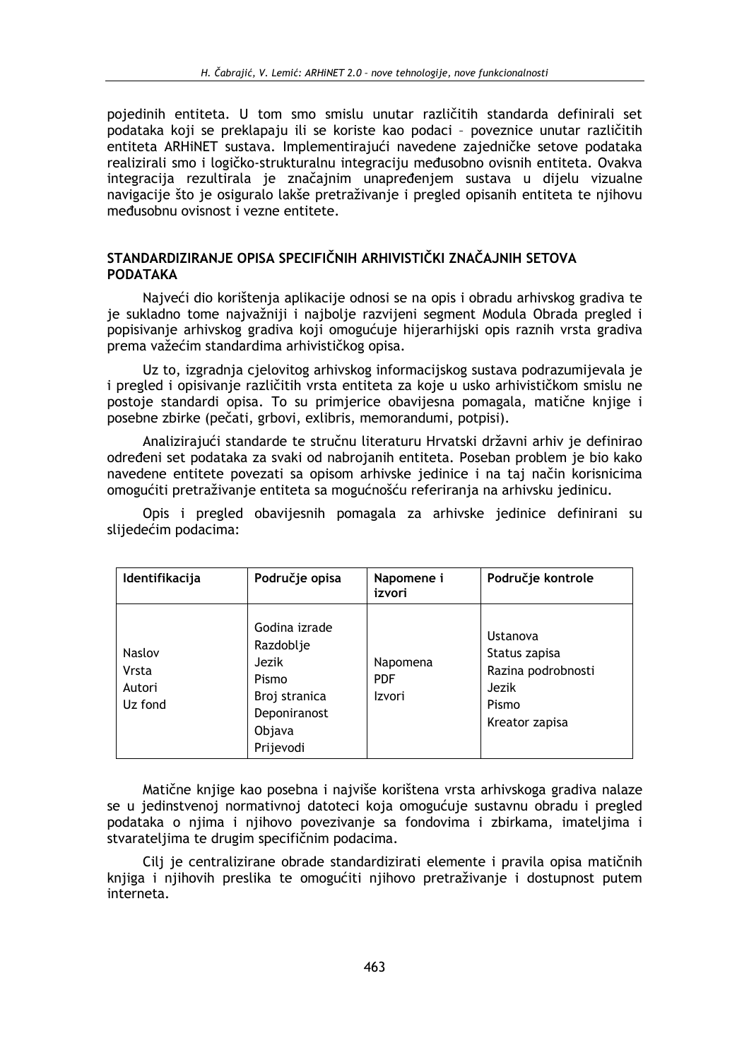pojedinih entiteta. U tom smo smislu unutar različitih standarda definirali set podataka koji se preklapaju ili se koriste kao podaci - poveznice unutar različitih entiteta ARHINET sustava. Implementirajući navedene zajedničke setove podataka realizirali smo i logičko-strukturalnu integraciju međusobno ovisnih entiteta. Ovakva integracija rezultirala je značajnim unapređenjem sustava u dijelu vizualne navigacije što je osiguralo lakše pretraživanje i pregled opisanih entiteta te njihovu međusobnu ovisnost i vezne entitete.

## STANDARDIZIRANJE OPISA SPECIFIČNIH ARHIVISTIČKI ZNAČAJNIH SETOVA **PODATAKA**

Najveći dio korištenja aplikacije odnosi se na opis i obradu arhivskog gradiva te je sukladno tome najvažniji i najbolje razvijeni segment Modula Obrada pregled i popisivanje arhivskog gradiva koji omogućuje hijerarhijski opis raznih vrsta gradiva prema važećim standardima arhivističkog opisa.

Uz to, izgradnja cjelovitog arhivskog informacijskog sustava podrazumijevala je i pregled i opisivanje različitih vrsta entiteta za koje u usko arhivističkom smislu ne postoje standardi opisa. To su primjerice obavijesna pomagala, matične knjige i posebne zbirke (pečati, grbovi, exlibris, memorandumi, potpisi).

Analizirajući standarde te stručnu literaturu Hrvatski državni arhiv je definirao određeni set podataka za svaki od nabrojanih entiteta. Poseban problem je bio kako navedene entitete povezati sa opisom arhivske jedinice i na taj način korisnicima omogućiti pretraživanje entiteta sa mogućnošću referiranja na arhivsku jedinicu.

Opis i pregled obavijesnih pomagala za arhivske jedinice definirani su slijedećim podacima:

| Identifikacija                       | Područje opisa                                                                                       | Napomene i<br>izvori             | Područje kontrole                                                                   |
|--------------------------------------|------------------------------------------------------------------------------------------------------|----------------------------------|-------------------------------------------------------------------------------------|
| Naslov<br>Vrsta<br>Autori<br>Uz fond | Godina izrade<br>Razdoblje<br>Jezik<br>Pismo<br>Broj stranica<br>Deponiranost<br>Objava<br>Prijevodi | Napomena<br><b>PDF</b><br>Izvori | Ustanova<br>Status zapisa<br>Razina podrobnosti<br>Jezik<br>Pismo<br>Kreator zapisa |

Matične knjige kao posebna i najviše korištena vrsta arhivskoga gradiva nalaze se u jedinstvenoj normativnoj datoteci koja omogućuje sustavnu obradu i pregled podataka o njima i njihovo povezivanje sa fondovima i zbirkama, imateljima i stvarateljima te drugim specifičnim podacima.

Cili je centralizirane obrade standardizirati elemente i pravila opisa matičnih knijga i nijhovih preslika te omogućiti nijhovo pretraživanje i dostupnost putem interneta.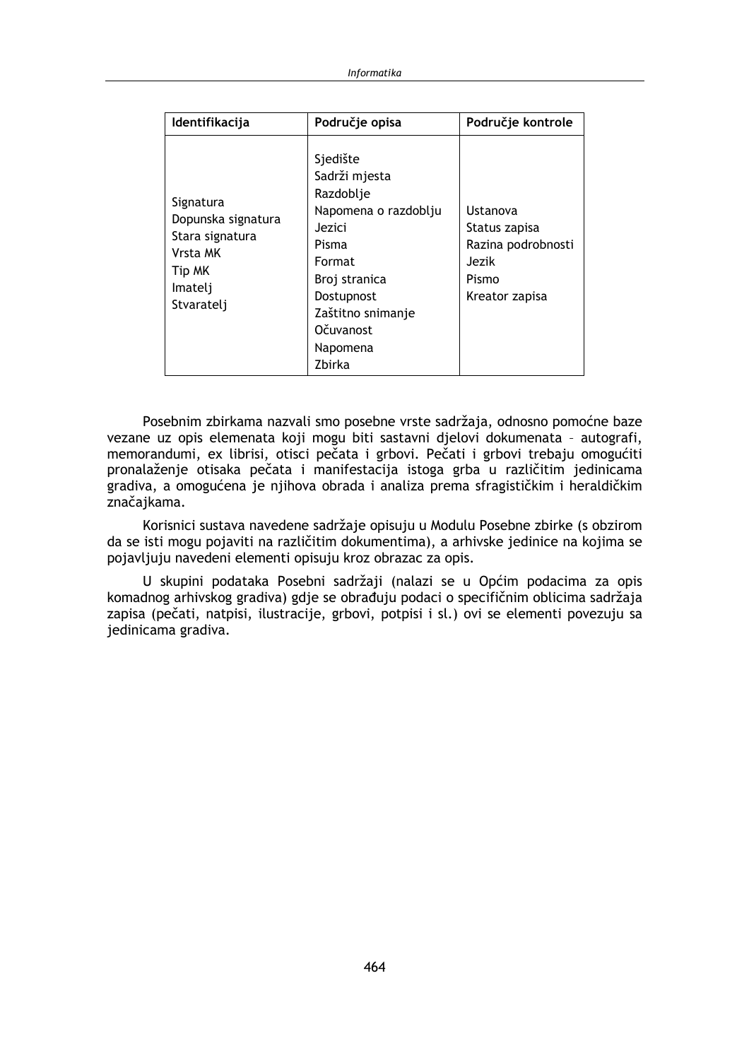| Identifikacija                                                                                    | Područje opisa                                                                                                                                                                            | Područje kontrole                                                                   |
|---------------------------------------------------------------------------------------------------|-------------------------------------------------------------------------------------------------------------------------------------------------------------------------------------------|-------------------------------------------------------------------------------------|
| Signatura<br>Dopunska signatura<br>Stara signatura<br>Vrsta MK<br>Tip MK<br>Imatelj<br>Stvaratelj | Sjedište<br>Sadrži mjesta<br>Razdoblje<br>Napomena o razdoblju<br>Jezici<br>Pisma<br>Format<br>Broj stranica<br>Dostupnost<br>Zaštitno snimanje<br><b>Očuvanost</b><br>Napomena<br>Zbirka | Ustanova<br>Status zapisa<br>Razina podrobnosti<br>Jezik<br>Pismo<br>Kreator zapisa |

Posebnim zbirkama nazvali smo posebne vrste sadržaja, odnosno pomoćne baze vezane uz opis elemenata koji mogu biti sastavni djelovi dokumenata - autografi, memorandumi, ex librisi, otisci pečata i grbovi. Pečati i grbovi trebaju omogućiti pronalaženje otisaka pečata i manifestacija istoga grba u različitim jedinicama gradiva, a omogućena je njihova obrada i analiza prema sfragističkim i heraldičkim značajkama.

Korisnici sustava navedene sadržaje opisuju u Modulu Posebne zbirke (s obzirom da se isti mogu pojaviti na različitim dokumentima), a arhivske jedinice na kojima se pojavljuju navedeni elementi opisuju kroz obrazac za opis.

U skupini podataka Posebni sadržaji (nalazi se u Općim podacima za opis komadnog arhivskog gradiva) gdje se obrađuju podaci o specifičnim oblicima sadržaja zapisa (pečati, natpisi, ilustracije, grbovi, potpisi i sl.) ovi se elementi povezuju sa iedinicama gradiva.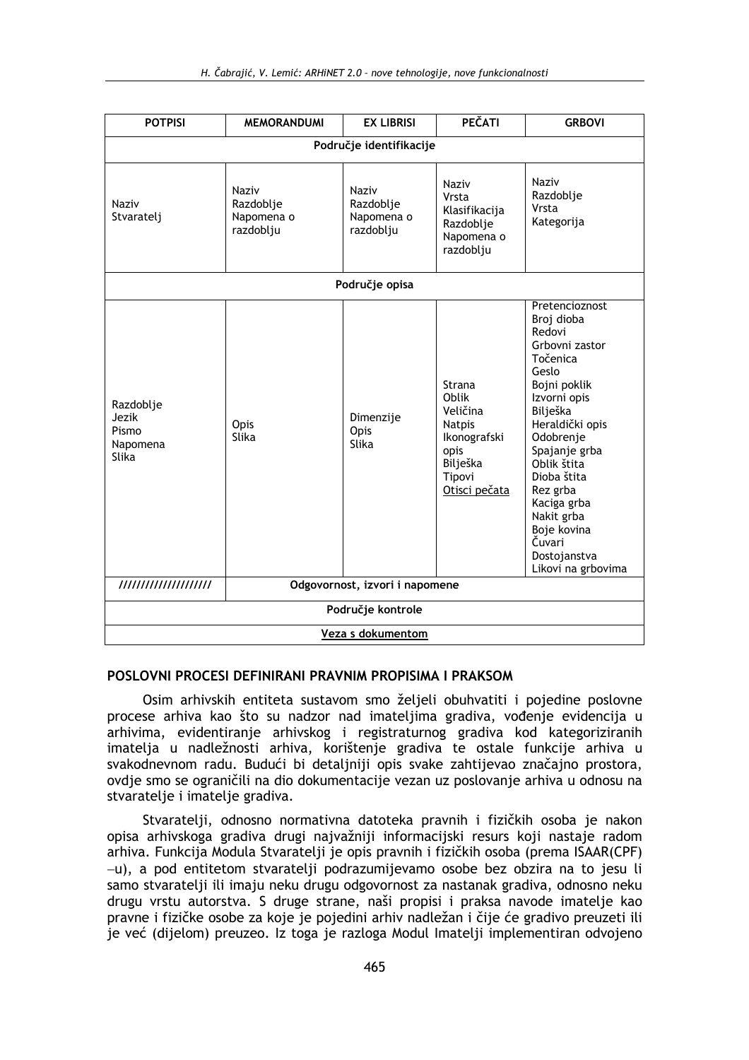| <b>POTPISI</b>                                          | <b>MEMORANDUMI</b>                            | <b>EX LIBRISI</b>                             | PEČATI                                                                                                             | <b>GRBOVI</b>                                                                                                                                                                                                                                                                                                    |
|---------------------------------------------------------|-----------------------------------------------|-----------------------------------------------|--------------------------------------------------------------------------------------------------------------------|------------------------------------------------------------------------------------------------------------------------------------------------------------------------------------------------------------------------------------------------------------------------------------------------------------------|
| Područje identifikacije                                 |                                               |                                               |                                                                                                                    |                                                                                                                                                                                                                                                                                                                  |
| Naziv<br>Stvaratelj                                     | Naziv<br>Razdoblje<br>Napomena o<br>razdoblju | Naziv<br>Razdoblje<br>Napomena o<br>razdoblju | <b>Naziv</b><br>Vrsta<br>Klasifikacija<br>Razdoblje<br>Napomena o<br>razdoblju                                     | Naziv<br>Razdoblje<br>Vrsta<br>Kategorija                                                                                                                                                                                                                                                                        |
|                                                         |                                               | Područje opisa                                |                                                                                                                    |                                                                                                                                                                                                                                                                                                                  |
| Razdoblje<br>Jezik<br>Pismo<br>Napomena<br>Slika        | Opis<br>Slika                                 | Dimenzije<br>Opis<br>Slika                    | <b>Strana</b><br>Oblik<br>Veličina<br><b>Natpis</b><br>Ikonografski<br>opis<br>Bilješka<br>Tipovi<br>Otisci pečata | Pretencioznost<br>Broj dioba<br>Redovi<br>Grbovni zastor<br>Točenica<br>Geslo<br>Bojni poklik<br>Izvorni opis<br>Bilješka<br>Heraldički opis<br>Odobrenje<br>Spajanje grba<br>Oblik štita<br>Dioba štita<br>Rez grba<br>Kaciga grba<br>Nakit grba<br>Boje kovina<br>Čuvari<br>Dostojanstva<br>Likovi na grbovima |
| Odgovornost, izvori i napomene<br>///////////////////// |                                               |                                               |                                                                                                                    |                                                                                                                                                                                                                                                                                                                  |
| Područje kontrole                                       |                                               |                                               |                                                                                                                    |                                                                                                                                                                                                                                                                                                                  |
| Veza s dokumentom                                       |                                               |                                               |                                                                                                                    |                                                                                                                                                                                                                                                                                                                  |

### POSLOVNI PROCESI DEFINIRANI PRAVNIM PROPISIMA I PRAKSOM

Osim arhivskih entiteta sustavom smo željeli obuhvatiti i pojedine poslovne procese arhiva kao što su nadzor nad imateljima gradiva, vođenje evidencija u arhivima, evidentiranje arhivskog i registraturnog gradiva kod kategoriziranih imatelja u nadležnosti arhiva, korištenje gradiva te ostale funkcije arhiva u svakodnevnom radu. Budući bi detaljniji opis svake zahtijevao značajno prostora, ovdie smo se ograničili na dio dokumentacije vezan uz poslovanje arhiva u odnosu na stvaratelje i imatelje gradiva.

Stvaratelji, odnosno normativna datoteka pravnih i fizičkih osoba je nakon opisa arhivskoga gradiva drugi najvažniji informacijski resurs koji nastaje radom arhiva. Funkcija Modula Stvaratelji je opis pravnih i fizičkih osoba (prema ISAAR(CPF) -u), a pod entitetom stvaratelii podrazumijevamo osobe bez obzira na to jesu li samo stvaratelji ili imaju neku drugu odgovornost za nastanak gradiva, odnosno neku drugu vrstu autorstva. S druge strane, naši propisi i praksa navode imatelje kao pravne i fizičke osobe za koje je pojedini arhiv nadležan i čije će gradivo preuzeti ili je već (dijelom) preuzeo. Iz toga je razloga Modul Imatelji implementiran odvojeno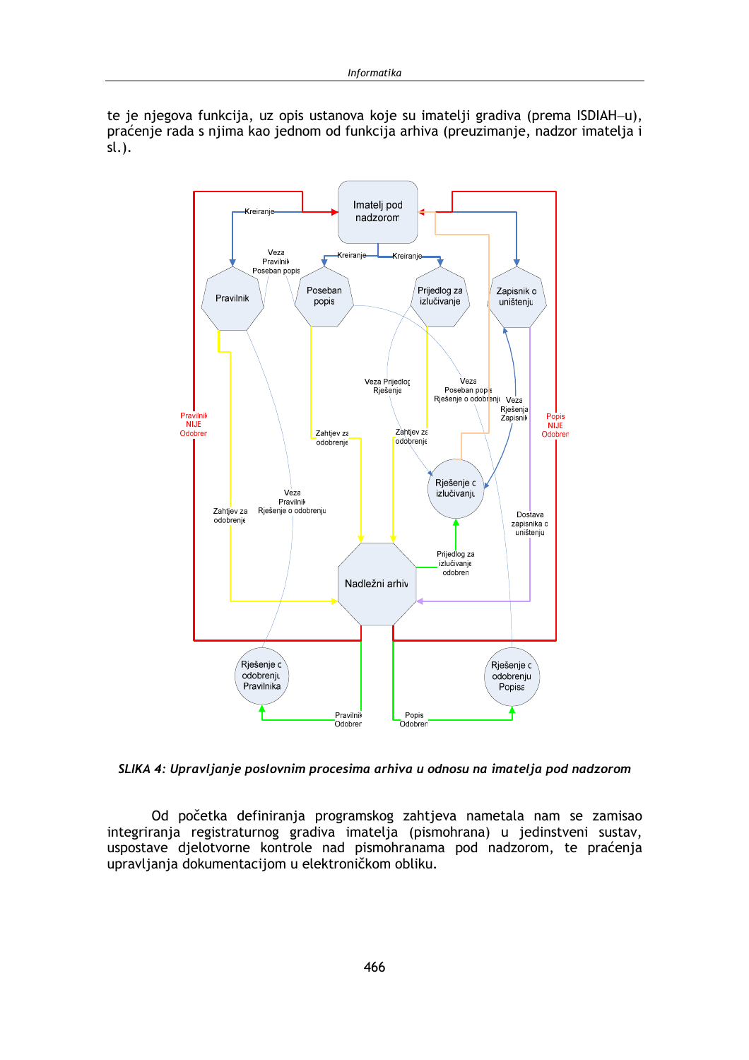te je njegova funkcija, uz opis ustanova koje su imatelji gradiva (prema ISDIAH-u), praćenje rada s njima kao jednom od funkcija arhiva (preuzimanje, nadzor imatelja i  $sl.$ ).



SLIKA 4: Upravljanje poslovnim procesima arhiva u odnosu na imatelja pod nadzorom

Od početka definiranja programskog zahtjeva nametala nam se zamisao integriranja registraturnog gradiva imatelja (pismohrana) u jedinstveni sustav, uspostave djelotvorne kontrole nad pismohranama pod nadzorom, te praćenja upravljanja dokumentacijom u elektroničkom obliku.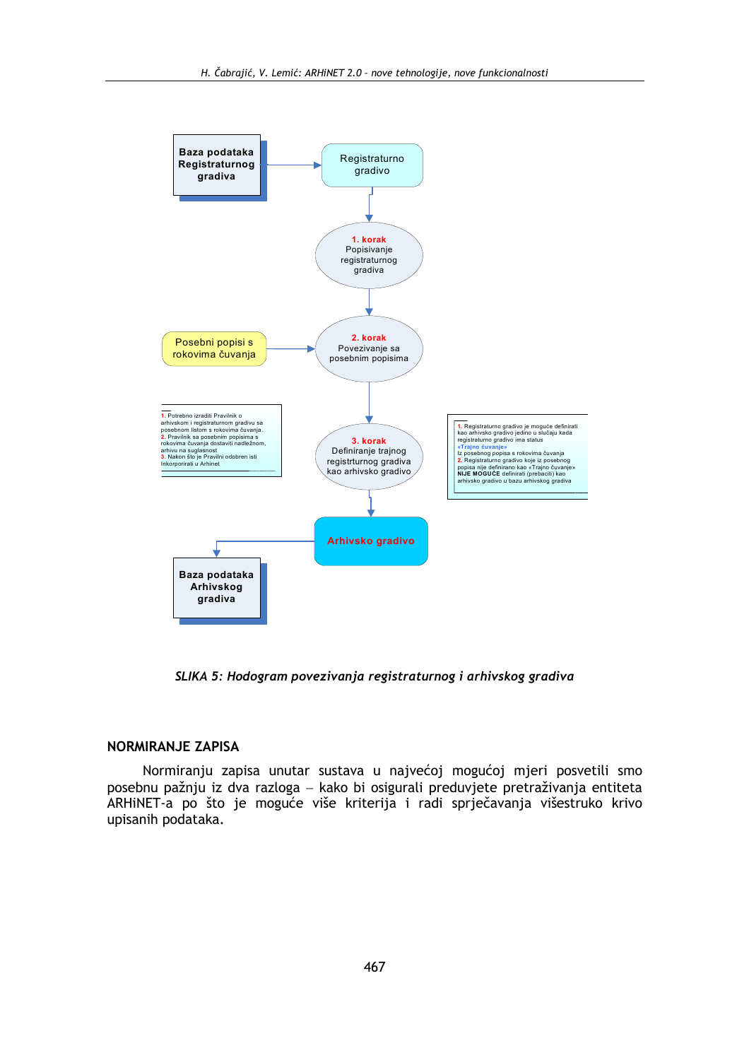

SLIKA 5: Hodogram povezivanja registraturnog i arhivskog gradiva

#### **NORMIRANJE ZAPISA**

Normiranju zapisa unutar sustava u najvećoj mogućoj mjeri posvetili smo posebnu pažnju iz dva razloga – kako bi osigurali preduvjete pretraživanja entiteta ARHINET-a po što je moguće više kriterija i radi sprječavanja višestruko krivo upisanih podataka.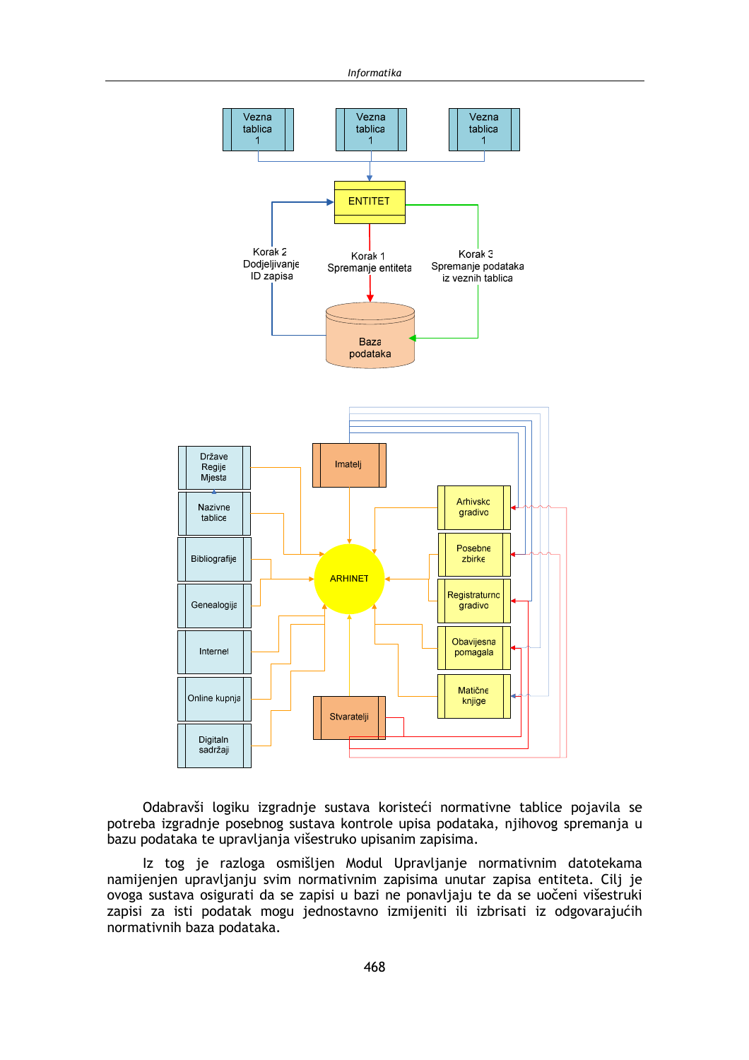

Odabravši logiku izgradnje sustava koristeći normativne tablice pojavila se potreba izgradnje posebnog sustava kontrole upisa podataka, njihovog spremanja u bazu podataka te upravljanja višestruko upisanim zapisima.

Iz tog je razloga osmišljen Modul Upravljanje normativnim datotekama namijenjen upravljanju svim normativnim zapisima unutar zapisa entiteta. Cilj je ovoga sustava osigurati da se zapisi u bazi ne ponavljaju te da se uočeni višestruki zapisi za isti podatak mogu jednostavno izmijeniti ili izbrisati iz odgovarajućih normativnih baza podataka.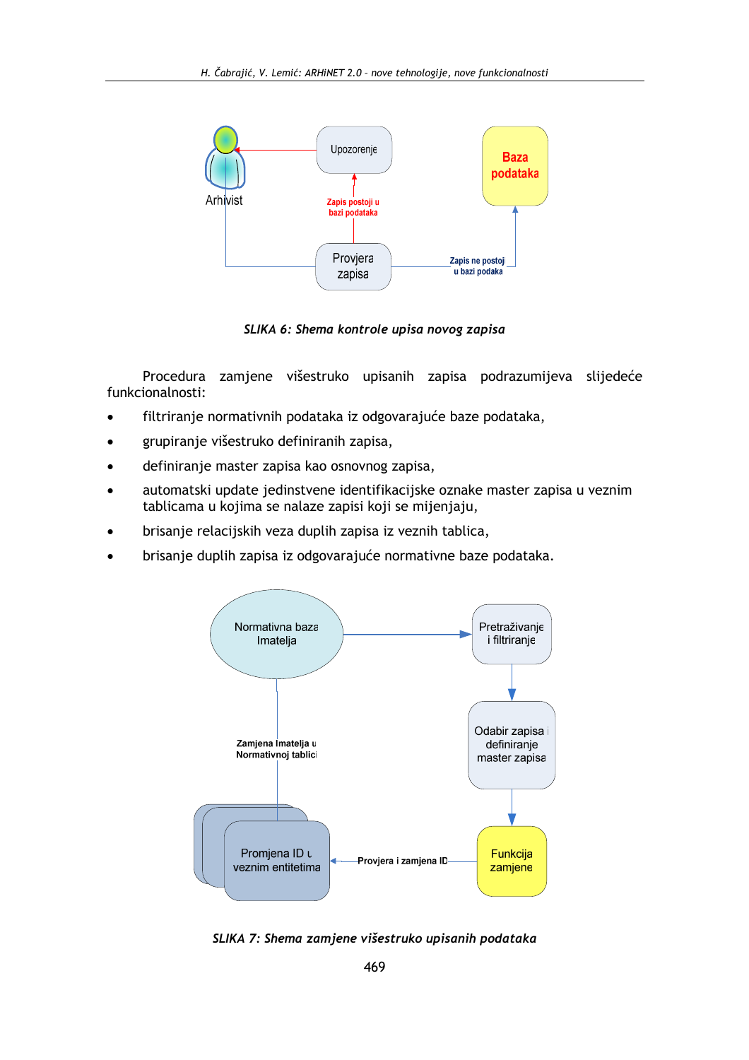

SLIKA 6: Shema kontrole upisa novog zapisa

Procedura zamjene višestruko upisanih zapisa podrazumijeva slijedeće funkcionalnosti:

- filtriranje normativnih podataka iz odgovarajuće baze podataka,  $\bullet$
- grupiranje višestruko definiranih zapisa,  $\bullet$
- definiranje master zapisa kao osnovnog zapisa,
- automatski update jedinstvene identifikacijske oznake master zapisa u veznim tablicama u kojima se nalaze zapisi koji se mijenjaju,
- brisanje relacijskih veza duplih zapisa iz veznih tablica,
- brisanje duplih zapisa iz odgovarajuće normativne baze podataka.



SLIKA 7: Shema zamjene višestruko upisanih podataka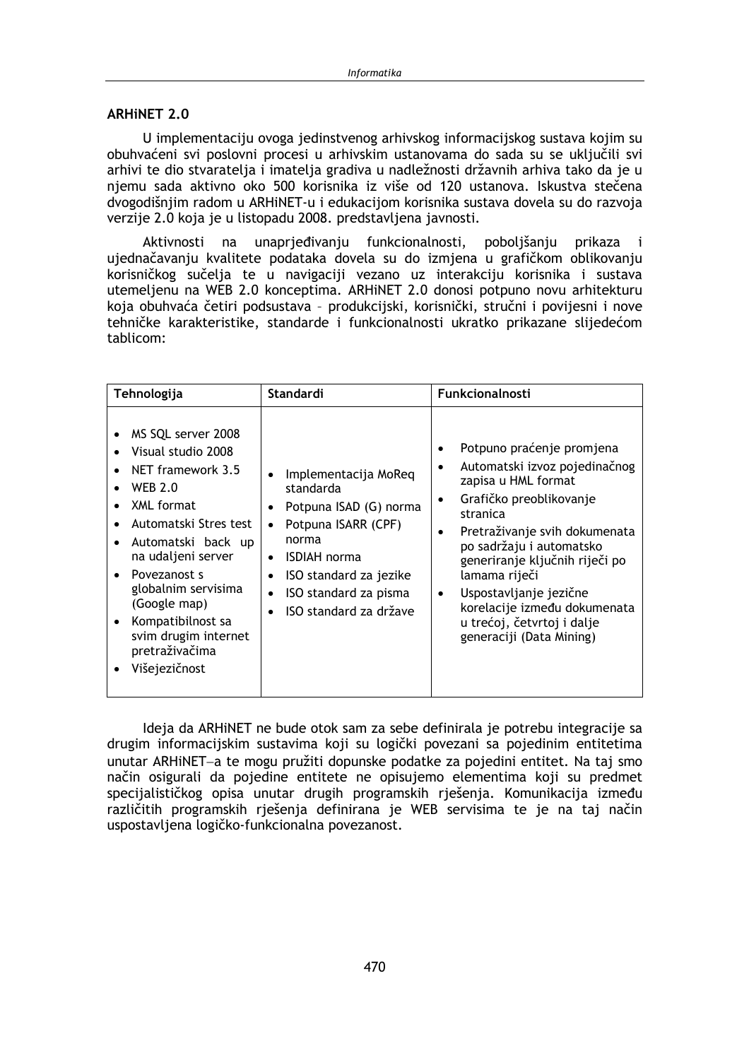### **ARHINET 2.0**

U implementaciju ovoga jedinstvenog arhivskog informacijskog sustava kojim su obuhvaćeni svi poslovni procesi u arhivskim ustanovama do sada su se uključili svi arhivi te dio stvaratelja i imatelja gradiva u nadležnosti državnih arhiva tako da je u njemu sada aktivno oko 500 korisnika iz više od 120 ustanova. Iskustva stečena dvogodišnjim radom u ARHiNET-u i edukacijom korisnika sustava dovela su do razvoja verzije 2.0 koja je u listopadu 2008. predstavljena javnosti.

unaprjeđivanju funkcionalnosti, poboljšanju prikaza Aktivnosti na  $\mathbf{i}$ ujednačavanju kvalitete podataka dovela su do izmjena u grafičkom oblikovanju korisničkog sučelja te u navigaciji vezano uz interakciju korisnika i sustava utemeljenu na WEB 2.0 konceptima. ARHINET 2.0 donosi potpuno novu arhitekturu koja obuhvaća četiri podsustava - produkcijski, korisnički, stručni i povijesni i nove tehničke karakteristike, standarde i funkcionalnosti ukratko prikazane slijedećom tablicom:

| Tehnologija                                                                                                                                                                                                                                                                                                                                      | Standardi                                                                                                                                                                                       | <b>Funkcionalnosti</b>                                                                                                                                                                                                                                                                                                                                                                                        |
|--------------------------------------------------------------------------------------------------------------------------------------------------------------------------------------------------------------------------------------------------------------------------------------------------------------------------------------------------|-------------------------------------------------------------------------------------------------------------------------------------------------------------------------------------------------|---------------------------------------------------------------------------------------------------------------------------------------------------------------------------------------------------------------------------------------------------------------------------------------------------------------------------------------------------------------------------------------------------------------|
| MS SQL server 2008<br>Visual studio 2008<br>NET framework 3.5<br><b>WEB 2.0</b><br>$\bullet$<br>XML format<br>Automatski Stres test<br>Automatski back up<br>na udaljeni server<br>Povezanost s<br>$\bullet$<br>globalnim servisima<br>(Google map)<br>Kompatibilnost sa<br>$\bullet$<br>svim drugim internet<br>pretraživačima<br>Višejezičnost | Implementacija MoReq<br>standarda<br>Potpuna ISAD (G) norma<br>Potpuna ISARR (CPF)<br>norma<br><b>ISDIAH</b> norma<br>ISO standard za jezike<br>ISO standard za pisma<br>ISO standard za države | Potpuno praćenje promjena<br>$\bullet$<br>Automatski izvoz pojedinačnog<br>٠<br>zapisa u HML format<br>Grafičko preoblikovanje<br>$\bullet$<br>stranica<br>Pretraživanje svih dokumenata<br>٠<br>po sadržaju i automatsko<br>generiranje ključnih riječi po<br>lamama riječi<br>Uspostavljanje jezične<br>$\bullet$<br>korelacije između dokumenata<br>u trećoj, četvrtoj i dalje<br>generaciji (Data Mining) |

Ideja da ARHINET ne bude otok sam za sebe definirala je potrebu integracije sa drugim informacijskim sustavima koji su logički povezani sa pojedinim entitetima unutar ARHiNET-a te mogu pružiti dopunske podatke za pojedini entitet. Na taj smo način osigurali da pojedine entitete ne opisujemo elementima koji su predmet specijalističkog opisa unutar drugih programskih rješenja. Komunikacija između različitih programskih rješenja definirana je WEB servisima te je na taj način uspostavljena logičko-funkcionalna povezanost.